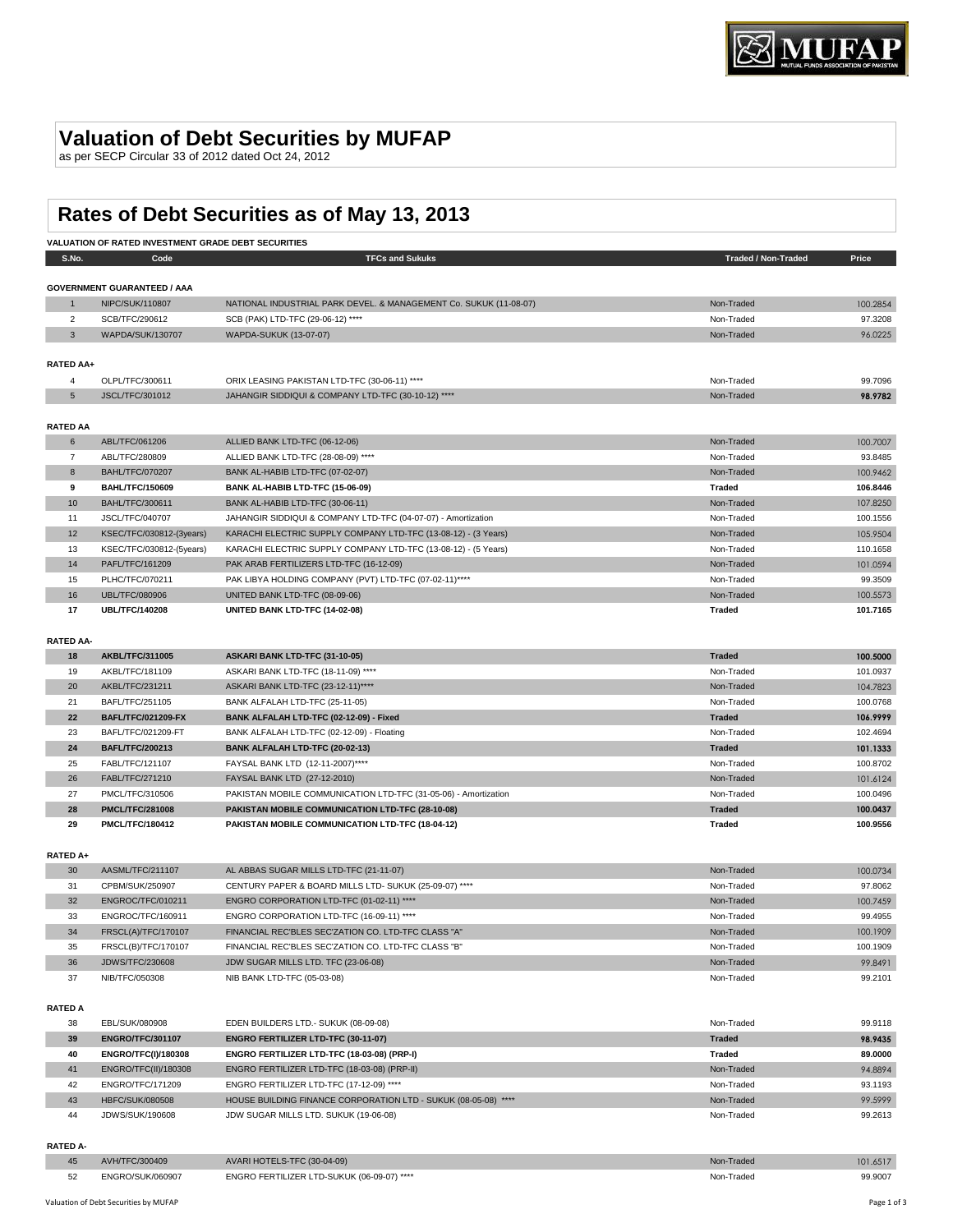## **Valuation of Debt Securities by MUFAP**

as per SECP Circular 33 of 2012 dated Oct 24, 2012

# **Rates of Debt Securities as of May 13, 2013**

|                  | VALUATION OF RATED INVESTMENT GRADE DEBT SECURITIES |                                                                                                            |                            |                      |
|------------------|-----------------------------------------------------|------------------------------------------------------------------------------------------------------------|----------------------------|----------------------|
| S.No.            | Code                                                | <b>TFCs and Sukuks</b>                                                                                     | <b>Traded / Non-Traded</b> | Price                |
|                  |                                                     |                                                                                                            |                            |                      |
|                  | <b>GOVERNMENT GUARANTEED / AAA</b>                  |                                                                                                            |                            |                      |
| $\mathbf{1}$     | NIPC/SUK/110807                                     | NATIONAL INDUSTRIAL PARK DEVEL. & MANAGEMENT Co. SUKUK (11-08-07)                                          | Non-Traded                 | 100.2854             |
| $\overline{2}$   | SCB/TFC/290612                                      | SCB (PAK) LTD-TFC (29-06-12) ****                                                                          | Non-Traded                 | 97.3208              |
| 3                | WAPDA/SUK/130707                                    | WAPDA-SUKUK (13-07-07)                                                                                     | Non-Traded                 | 96.0225              |
|                  |                                                     |                                                                                                            |                            |                      |
| RATED AA+        |                                                     |                                                                                                            |                            |                      |
| 4                | OLPL/TFC/300611                                     | ORIX LEASING PAKISTAN LTD-TFC (30-06-11) ****                                                              | Non-Traded                 | 99.7096              |
| 5                | JSCL/TFC/301012                                     | JAHANGIR SIDDIQUI & COMPANY LTD-TFC (30-10-12) ****                                                        | Non-Traded                 | 98.9782              |
| <b>RATED AA</b>  |                                                     |                                                                                                            |                            |                      |
| 6                | ABL/TFC/061206                                      | ALLIED BANK LTD-TFC (06-12-06)                                                                             | Non-Traded                 | 100.7007             |
| 7                | ABL/TFC/280809                                      | ALLIED BANK LTD-TFC (28-08-09) ****                                                                        | Non-Traded                 | 93.8485              |
| 8                | <b>BAHL/TFC/070207</b>                              | BANK AL-HABIB LTD-TFC (07-02-07)                                                                           | Non-Traded                 | 100.9462             |
| 9                | <b>BAHL/TFC/150609</b>                              | BANK AL-HABIB LTD-TFC (15-06-09)                                                                           | Traded                     | 106.8446             |
| 10               | BAHL/TFC/300611                                     | BANK AL-HABIB LTD-TFC (30-06-11)                                                                           | Non-Traded                 | 107.8250             |
| 11               | JSCL/TFC/040707                                     | JAHANGIR SIDDIQUI & COMPANY LTD-TFC (04-07-07) - Amortization                                              | Non-Traded                 | 100.1556             |
| 12               | KSEC/TFC/030812-(3years)                            | KARACHI ELECTRIC SUPPLY COMPANY LTD-TFC (13-08-12) - (3 Years)                                             | Non-Traded                 | 105.9504             |
| 13               | KSEC/TFC/030812-(5years)                            | KARACHI ELECTRIC SUPPLY COMPANY LTD-TFC (13-08-12) - (5 Years)                                             | Non-Traded                 | 110.1658             |
| 14               | PAFL/TFC/161209                                     | PAK ARAB FERTILIZERS LTD-TFC (16-12-09)                                                                    | Non-Traded                 | 101.0594             |
| 15               | PLHC/TFC/070211                                     | PAK LIBYA HOLDING COMPANY (PVT) LTD-TFC (07-02-11)****                                                     | Non-Traded                 | 99.3509              |
| 16               | UBL/TFC/080906                                      | UNITED BANK LTD-TFC (08-09-06)                                                                             | Non-Traded                 | 100.5573             |
| 17               | <b>UBL/TFC/140208</b>                               | UNITED BANK LTD-TFC (14-02-08)                                                                             | Traded                     | 101.7165             |
|                  |                                                     |                                                                                                            |                            |                      |
| <b>RATED AA-</b> |                                                     |                                                                                                            |                            |                      |
| 18               | <b>AKBL/TFC/311005</b>                              | ASKARI BANK LTD-TFC (31-10-05)                                                                             | <b>Traded</b>              | 100.5000             |
| 19               | AKBL/TFC/181109                                     | ASKARI BANK LTD-TFC (18-11-09) ****                                                                        | Non-Traded                 | 101.0937             |
| 20               | AKBL/TFC/231211                                     | ASKARI BANK LTD-TFC (23-12-11)****                                                                         | Non-Traded                 | 104.7823             |
| 21               | BAFL/TFC/251105                                     | BANK ALFALAH LTD-TFC (25-11-05)                                                                            | Non-Traded                 | 100.0768             |
| 22               | <b>BAFL/TFC/021209-FX</b>                           | BANK ALFALAH LTD-TFC (02-12-09) - Fixed                                                                    | <b>Traded</b>              | 106.9999             |
| 23               | BAFL/TFC/021209-FT                                  | BANK ALFALAH LTD-TFC (02-12-09) - Floating                                                                 | Non-Traded                 | 102.4694             |
| 24               | <b>BAFL/TFC/200213</b>                              | BANK ALFALAH LTD-TFC (20-02-13)                                                                            | <b>Traded</b>              | 101.1333             |
| 25               | FABL/TFC/121107                                     | FAYSAL BANK LTD (12-11-2007)****                                                                           | Non-Traded                 | 100.8702             |
| 26               | FABL/TFC/271210                                     | FAYSAL BANK LTD (27-12-2010)                                                                               | Non-Traded                 | 101.6124             |
| 27               | PMCL/TFC/310506                                     | PAKISTAN MOBILE COMMUNICATION LTD-TFC (31-05-06) - Amortization                                            | Non-Traded                 | 100.0496             |
| 28               | <b>PMCL/TFC/281008</b>                              | PAKISTAN MOBILE COMMUNICATION LTD-TFC (28-10-08)                                                           | <b>Traded</b>              | 100.0437             |
| 29               | <b>PMCL/TFC/180412</b>                              | PAKISTAN MOBILE COMMUNICATION LTD-TFC (18-04-12)                                                           | Traded                     | 100.9556             |
|                  |                                                     |                                                                                                            |                            |                      |
| <b>RATED A+</b>  |                                                     |                                                                                                            |                            |                      |
| 30               | AASML/TFC/211107                                    | AL ABBAS SUGAR MILLS LTD-TFC (21-11-07)                                                                    | Non-Traded                 | 100.0734             |
| 31               | CPBM/SUK/250907                                     | CENTURY PAPER & BOARD MILLS LTD- SUKUK (25-09-07) ****                                                     | Non-Traded                 | 97.8062              |
| 32<br>33         | ENGROC/TFC/010211<br>ENGROC/TFC/160911              | ENGRO CORPORATION LTD-TFC (01-02-11) ****<br>ENGRO CORPORATION LTD-TFC (16-09-11) ****                     | Non-Traded<br>Non-Traded   | 100.7459<br>99.4955  |
|                  |                                                     |                                                                                                            |                            |                      |
| 34               | FRSCL(A)/TFC/170107                                 | FINANCIAL REC'BLES SEC'ZATION CO. LTD-TFC CLASS "A"<br>FINANCIAL REC'BLES SEC'ZATION CO. LTD-TFC CLASS "B" | Non-Traded                 | 100.1909<br>100.1909 |
| 35<br>36         | FRSCL(B)/TFC/170107<br>JDWS/TFC/230608              | JDW SUGAR MILLS LTD. TFC (23-06-08)                                                                        | Non-Traded<br>Non-Traded   | 99.8491              |
| 37               | NIB/TFC/050308                                      |                                                                                                            | Non-Traded                 | 99.2101              |
|                  |                                                     | NIB BANK LTD-TFC (05-03-08)                                                                                |                            |                      |
| <b>RATED A</b>   |                                                     |                                                                                                            |                            |                      |
| 38               | EBL/SUK/080908                                      | EDEN BUILDERS LTD.- SUKUK (08-09-08)                                                                       | Non-Traded                 | 99.9118              |
| 39               | <b>ENGRO/TFC/301107</b>                             | ENGRO FERTILIZER LTD-TFC (30-11-07)                                                                        | <b>Traded</b>              | 98.9435              |
| 40               | ENGRO/TFC(I)/180308                                 | ENGRO FERTILIZER LTD-TFC (18-03-08) (PRP-I)                                                                | Traded                     | 89.0000              |
| 41               | ENGRO/TFC(II)/180308                                | ENGRO FERTILIZER LTD-TFC (18-03-08) (PRP-II)                                                               | Non-Traded                 | 94.8894              |
| 42               | ENGRO/TFC/171209                                    | ENGRO FERTILIZER LTD-TFC (17-12-09) ****                                                                   | Non-Traded                 | 93.1193              |
| 43               | <b>HBFC/SUK/080508</b>                              | HOUSE BUILDING FINANCE CORPORATION LTD - SUKUK (08-05-08) ****                                             | Non-Traded                 | 99.5999              |
|                  |                                                     |                                                                                                            |                            |                      |

**RATED A-**

| 45 | $\Delta$ $\times$ $H/T$ | AVARI HOTELS-TFC (30-04-09)                | <b>I</b> raded | 01.6517 |
|----|-------------------------|--------------------------------------------|----------------|---------|
| 52 | $N \cap$<br>.           | ENGRO FERTILIZER LTD-SUKUK (06-09-07) **** | Tradec<br>.    | 99.9007 |

JDWS/SUK/190608 JDW SUGAR MILLS LTD. SUKUK (19-06-08) Non-Traded 99.2613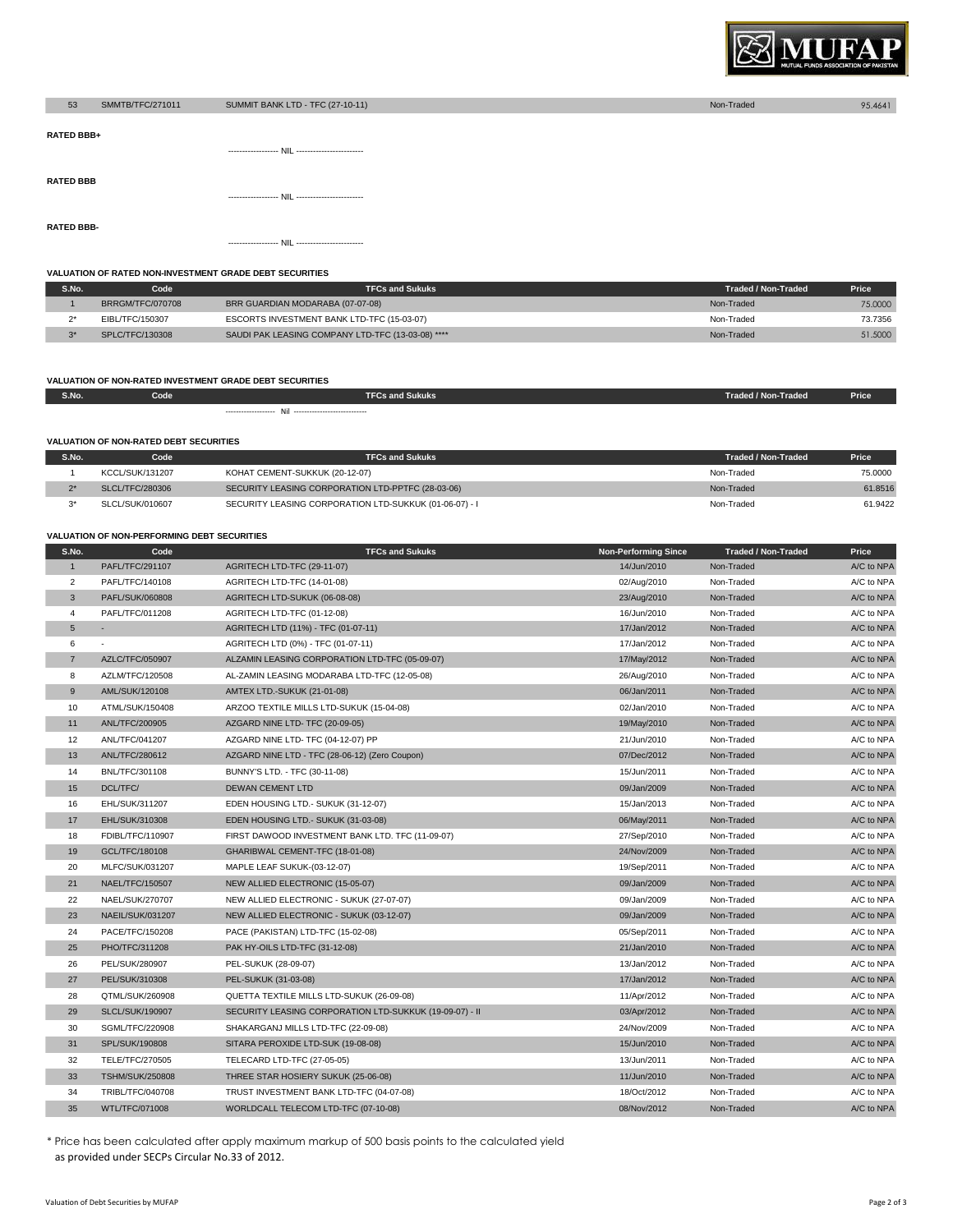

| 53                | SMMTB/TFC/271011 | SUMMIT BANK LTD - TFC (27-10-11) | Non-Traded | 95.4641 |
|-------------------|------------------|----------------------------------|------------|---------|
| <b>RATED BBB+</b> |                  |                                  |            |         |
|                   |                  |                                  |            |         |
| <b>RATED BBB</b>  |                  |                                  |            |         |
|                   |                  |                                  |            |         |
| <b>RATED BBB-</b> |                  |                                  |            |         |
|                   |                  |                                  |            |         |

#### **VALUATION OF RATED NON-INVESTMENT GRADE DEBT SECURITIES**

| S.No.        | Code             | <b>TFCs and Sukuks</b>                            | Traded / Non-Traded | Price   |
|--------------|------------------|---------------------------------------------------|---------------------|---------|
|              | BRRGM/TFC/070708 | BRR GUARDIAN MODARABA (07-07-08)                  | Non-Traded          | 75.0000 |
|              | EIBL/TFC/150307  | ESCORTS INVESTMENT BANK LTD-TFC (15-03-07)        | Non-Traded          | 73.7356 |
| $\mathbf{a}$ | SPLC/TFC/130308  | SAUDI PAK LEASING COMPANY LTD-TFC (13-03-08) **** | Non-Traded          | 51,5000 |

### **VALUATION OF NON-RATED INVESTMENT GRADE DEBT SECURITIES**

| S.No. | Code | <b>TFCs and Sukuks</b> | Price<br>Traded / Non-Traded |  |
|-------|------|------------------------|------------------------------|--|
|       |      |                        |                              |  |

### **VALUATION OF NON-RATED DEBT SECURITIES**

| S.No.        | Code            | <b>TFCs and Sukuks</b>                                 | Traded / Non-Traded | <b>Price</b> |
|--------------|-----------------|--------------------------------------------------------|---------------------|--------------|
|              | KCCL/SUK/131207 | KOHAT CEMENT-SUKKUK (20-12-07)                         | Non-Traded          | 75,0000      |
| $\mathbf{a}$ | SLCL/TFC/280306 | SECURITY LEASING CORPORATION LTD-PPTFC (28-03-06)      | Non-Traded          | 61.8516      |
| $\mathbf{a}$ | SLCL/SUK/010607 | SECURITY LEASING CORPORATION LTD-SUKKUK (01-06-07) - I | Non-Traded          | 61.9422      |

#### **VALUATION OF NON-PERFORMING DEBT SECURITIES**

| S.No.           | Code                   | <b>TFCs and Sukuks</b>                                  | <b>Non-Performing Since</b> | <b>Traded / Non-Traded</b> | Price      |
|-----------------|------------------------|---------------------------------------------------------|-----------------------------|----------------------------|------------|
| $\overline{1}$  | PAFL/TFC/291107        | AGRITECH LTD-TFC (29-11-07)                             | 14/Jun/2010                 | Non-Traded                 | A/C to NPA |
| $\overline{2}$  | PAFL/TFC/140108        | AGRITECH LTD-TFC (14-01-08)                             | 02/Aug/2010                 | Non-Traded                 | A/C to NPA |
| $\mathbf{3}$    | PAFL/SUK/060808        | AGRITECH LTD-SUKUK (06-08-08)                           | 23/Aug/2010                 | Non-Traded                 | A/C to NPA |
| $\overline{4}$  | PAFL/TFC/011208        | AGRITECH LTD-TFC (01-12-08)                             | 16/Jun/2010                 | Non-Traded                 | A/C to NPA |
| $5\phantom{.0}$ |                        | AGRITECH LTD (11%) - TFC (01-07-11)                     | 17/Jan/2012                 | Non-Traded                 | A/C to NPA |
| 6               | $\sim$                 | AGRITECH LTD (0%) - TFC (01-07-11)                      | 17/Jan/2012                 | Non-Traded                 | A/C to NPA |
| $\overline{7}$  | AZLC/TFC/050907        | ALZAMIN LEASING CORPORATION LTD-TFC (05-09-07)          | 17/May/2012                 | Non-Traded                 | A/C to NPA |
| 8               | AZLM/TFC/120508        | AL-ZAMIN LEASING MODARABA LTD-TFC (12-05-08)            | 26/Aug/2010                 | Non-Traded                 | A/C to NPA |
| 9               | AML/SUK/120108         | AMTEX LTD.-SUKUK (21-01-08)                             | 06/Jan/2011                 | Non-Traded                 | A/C to NPA |
| 10              | ATML/SUK/150408        | ARZOO TEXTILE MILLS LTD-SUKUK (15-04-08)                | 02/Jan/2010                 | Non-Traded                 | A/C to NPA |
| 11              | ANL/TFC/200905         | AZGARD NINE LTD- TFC (20-09-05)                         | 19/May/2010                 | Non-Traded                 | A/C to NPA |
| 12              | ANL/TFC/041207         | AZGARD NINE LTD- TFC (04-12-07) PP                      | 21/Jun/2010                 | Non-Traded                 | A/C to NPA |
| 13              | ANL/TFC/280612         | AZGARD NINE LTD - TFC (28-06-12) (Zero Coupon)          | 07/Dec/2012                 | Non-Traded                 | A/C to NPA |
| 14              | BNL/TFC/301108         | BUNNY'S LTD. - TFC (30-11-08)                           | 15/Jun/2011                 | Non-Traded                 | A/C to NPA |
| 15              | DCL/TFC/               | <b>DEWAN CEMENT LTD</b>                                 | 09/Jan/2009                 | Non-Traded                 | A/C to NPA |
| 16              | EHL/SUK/311207         | EDEN HOUSING LTD.- SUKUK (31-12-07)                     | 15/Jan/2013                 | Non-Traded                 | A/C to NPA |
| 17              | EHL/SUK/310308         | EDEN HOUSING LTD.- SUKUK (31-03-08)                     | 06/May/2011                 | Non-Traded                 | A/C to NPA |
| 18              | FDIBL/TFC/110907       | FIRST DAWOOD INVESTMENT BANK LTD. TFC (11-09-07)        | 27/Sep/2010                 | Non-Traded                 | A/C to NPA |
| 19              | GCL/TFC/180108         | GHARIBWAL CEMENT-TFC (18-01-08)                         | 24/Nov/2009                 | Non-Traded                 | A/C to NPA |
| 20              | MLFC/SUK/031207        | MAPLE LEAF SUKUK-(03-12-07)                             | 19/Sep/2011                 | Non-Traded                 | A/C to NPA |
| 21              | NAEL/TFC/150507        | NEW ALLIED ELECTRONIC (15-05-07)                        | 09/Jan/2009                 | Non-Traded                 | A/C to NPA |
| 22              | NAEL/SUK/270707        | NEW ALLIED ELECTRONIC - SUKUK (27-07-07)                | 09/Jan/2009                 | Non-Traded                 | A/C to NPA |
| 23              | NAEIL/SUK/031207       | NEW ALLIED ELECTRONIC - SUKUK (03-12-07)                | 09/Jan/2009                 | Non-Traded                 | A/C to NPA |
| 24              | PACE/TFC/150208        | PACE (PAKISTAN) LTD-TFC (15-02-08)                      | 05/Sep/2011                 | Non-Traded                 | A/C to NPA |
| 25              | PHO/TFC/311208         | PAK HY-OILS LTD-TFC (31-12-08)                          | 21/Jan/2010                 | Non-Traded                 | A/C to NPA |
| 26              | PEL/SUK/280907         | PEL-SUKUK (28-09-07)                                    | 13/Jan/2012                 | Non-Traded                 | A/C to NPA |
| 27              | PEL/SUK/310308         | PEL-SUKUK (31-03-08)                                    | 17/Jan/2012                 | Non-Traded                 | A/C to NPA |
| 28              | QTML/SUK/260908        | QUETTA TEXTILE MILLS LTD-SUKUK (26-09-08)               | 11/Apr/2012                 | Non-Traded                 | A/C to NPA |
| 29              | <b>SLCL/SUK/190907</b> | SECURITY LEASING CORPORATION LTD-SUKKUK (19-09-07) - II | 03/Apr/2012                 | Non-Traded                 | A/C to NPA |
| 30              | SGML/TFC/220908        | SHAKARGANJ MILLS LTD-TFC (22-09-08)                     | 24/Nov/2009                 | Non-Traded                 | A/C to NPA |
| 31              | SPL/SUK/190808         | SITARA PEROXIDE LTD-SUK (19-08-08)                      | 15/Jun/2010                 | Non-Traded                 | A/C to NPA |
| 32              | TELE/TFC/270505        | TELECARD LTD-TFC (27-05-05)                             | 13/Jun/2011                 | Non-Traded                 | A/C to NPA |
| 33              | <b>TSHM/SUK/250808</b> | THREE STAR HOSIERY SUKUK (25-06-08)                     | 11/Jun/2010                 | Non-Traded                 | A/C to NPA |
| 34              | TRIBL/TFC/040708       | TRUST INVESTMENT BANK LTD-TFC (04-07-08)                | 18/Oct/2012                 | Non-Traded                 | A/C to NPA |
| 35              | WTL/TFC/071008         | WORLDCALL TELECOM LTD-TFC (07-10-08)                    | 08/Nov/2012                 | Non-Traded                 | A/C to NPA |
|                 |                        |                                                         |                             |                            |            |

\* Price has been calculated after apply maximum markup of 500 basis points to the calculated yield as provided under SECPs Circular No.33 of 2012.